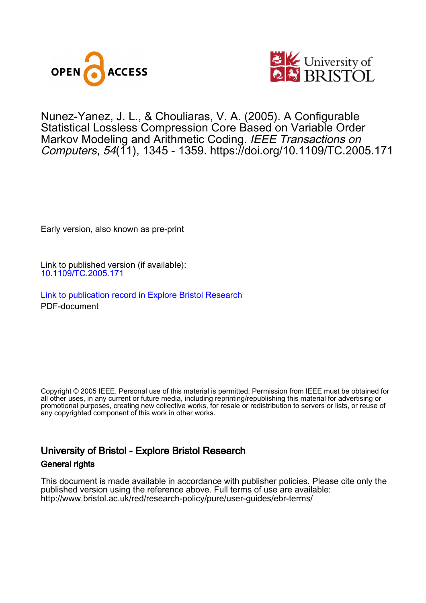



## Nunez-Yanez, J. L. , & Chouliaras, V. A. (2005). A Configurable Statistical Lossless Compression Core Based on Variable Order Markov Modeling and Arithmetic Coding. IEEE Transactions on Computers, 54(11), 1345 - 1359.<https://doi.org/10.1109/TC.2005.171>

Early version, also known as pre-print

Link to published version (if available): [10.1109/TC.2005.171](https://doi.org/10.1109/TC.2005.171)

[Link to publication record in Explore Bristol Research](https://research-information.bris.ac.uk/en/publications/1086e4b8-7106-450d-acb4-ff21d707012e) PDF-document

Copyright © 2005 IEEE. Personal use of this material is permitted. Permission from IEEE must be obtained for all other uses, in any current or future media, including reprinting/republishing this material for advertising or promotional purposes, creating new collective works, for resale or redistribution to servers or lists, or reuse of any copyrighted component of this work in other works.

# University of Bristol - Explore Bristol Research General rights

This document is made available in accordance with publisher policies. Please cite only the published version using the reference above. Full terms of use are available: http://www.bristol.ac.uk/red/research-policy/pure/user-guides/ebr-terms/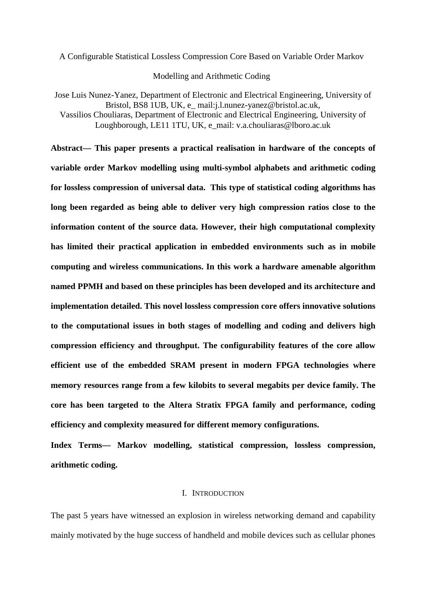A Configurable Statistical Lossless Compression Core Based on Variable Order Markov

Modelling and Arithmetic Coding

Jose Luis Nunez-Yanez*,* Department of Electronic and Electrical Engineering, University of Bristol, BS8 1UB, UK, e\_ mail:j.l.nunez-yanez@bristol.ac.uk, Vassilios Chouliaras, Department of Electronic and Electrical Engineering, University of Loughborough, LE11 1TU, UK, e\_mail: v.a.chouliaras@lboro.ac.uk

**Abstract— This paper presents a practical realisation in hardware of the concepts of variable order Markov modelling using multi-symbol alphabets and arithmetic coding for lossless compression of universal data. This type of statistical coding algorithms has long been regarded as being able to deliver very high compression ratios close to the information content of the source data. However, their high computational complexity has limited their practical application in embedded environments such as in mobile computing and wireless communications. In this work a hardware amenable algorithm named PPMH and based on these principles has been developed and its architecture and implementation detailed. This novel lossless compression core offers innovative solutions to the computational issues in both stages of modelling and coding and delivers high compression efficiency and throughput. The configurability features of the core allow efficient use of the embedded SRAM present in modern FPGA technologies where memory resources range from a few kilobits to several megabits per device family. The core has been targeted to the Altera Stratix FPGA family and performance, coding efficiency and complexity measured for different memory configurations.** 

**Index Terms— Markov modelling, statistical compression, lossless compression, arithmetic coding.** 

## I. INTRODUCTION

The past 5 years have witnessed an explosion in wireless networking demand and capability mainly motivated by the huge success of handheld and mobile devices such as cellular phones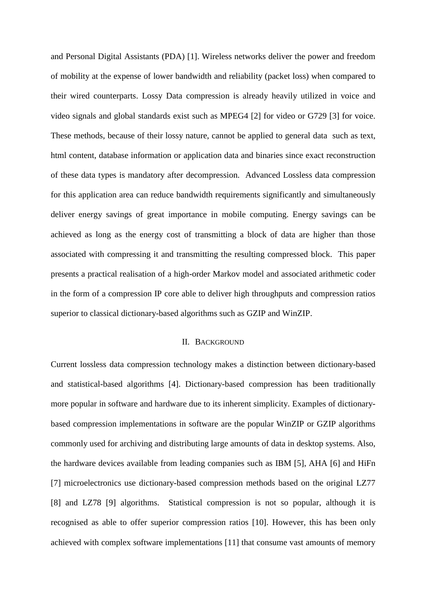and Personal Digital Assistants (PDA) [1]. Wireless networks deliver the power and freedom of mobility at the expense of lower bandwidth and reliability (packet loss) when compared to their wired counterparts. Lossy Data compression is already heavily utilized in voice and video signals and global standards exist such as MPEG4 [2] for video or G729 [3] for voice. These methods, because of their lossy nature, cannot be applied to general data such as text, html content, database information or application data and binaries since exact reconstruction of these data types is mandatory after decompression. Advanced Lossless data compression for this application area can reduce bandwidth requirements significantly and simultaneously deliver energy savings of great importance in mobile computing. Energy savings can be achieved as long as the energy cost of transmitting a block of data are higher than those associated with compressing it and transmitting the resulting compressed block. This paper presents a practical realisation of a high-order Markov model and associated arithmetic coder in the form of a compression IP core able to deliver high throughputs and compression ratios superior to classical dictionary-based algorithms such as GZIP and WinZIP.

## II. BACKGROUND

Current lossless data compression technology makes a distinction between dictionary-based and statistical-based algorithms [4]. Dictionary-based compression has been traditionally more popular in software and hardware due to its inherent simplicity. Examples of dictionarybased compression implementations in software are the popular WinZIP or GZIP algorithms commonly used for archiving and distributing large amounts of data in desktop systems. Also, the hardware devices available from leading companies such as IBM [5], AHA [6] and HiFn [7] microelectronics use dictionary-based compression methods based on the original LZ77 [8] and LZ78 [9] algorithms. Statistical compression is not so popular, although it is recognised as able to offer superior compression ratios [10]. However, this has been only achieved with complex software implementations [11] that consume vast amounts of memory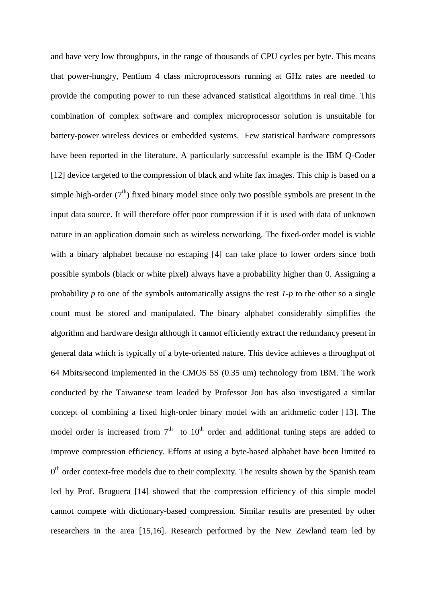and have very low throughputs, in the range of thousands of CPU cycles per byte. This means that power-hungry, Pentium 4 class microprocessors running at GHz rates are needed to provide the computing power to run these advanced statistical algorithms in real time. This combination of complex software and complex microprocessor solution is unsuitable for battery-power wireless devices or embedded systems. Few statistical hardware compressors have been reported in the literature. A particularly successful example is the IBM Q-Coder [12] device targeted to the compression of black and white fax images. This chip is based on a simple high-order  $(7<sup>th</sup>)$  fixed binary model since only two possible symbols are present in the input data source. It will therefore offer poor compression if it is used with data of unknown nature in an application domain such as wireless networking. The fixed-order model is viable with a binary alphabet because no escaping [4] can take place to lower orders since both possible symbols (black or white pixel) always have a probability higher than 0. Assigning a probability *p* to one of the symbols automatically assigns the rest *1-p* to the other so a single count must be stored and manipulated. The binary alphabet considerably simplifies the algorithm and hardware design although it cannot efficiently extract the redundancy present in general data which is typically of a byte-oriented nature. This device achieves a throughput of 64 Mbits/second implemented in the CMOS 5S (0.35 um) technology from IBM. The work conducted by the Taiwanese team leaded by Professor Jou has also investigated a similar concept of combining a fixed high-order binary model with an arithmetic coder [13]. The model order is increased from  $7<sup>th</sup>$  to  $10<sup>th</sup>$  order and additional tuning steps are added to improve compression efficiency. Efforts at using a byte-based alphabet have been limited to  $0<sup>th</sup>$  order context-free models due to their complexity. The results shown by the Spanish team led by Prof. Bruguera [14] showed that the compression efficiency of this simple model cannot compete with dictionary-based compression. Similar results are presented by other researchers in the area [15,16]. Research performed by the New Zewland team led by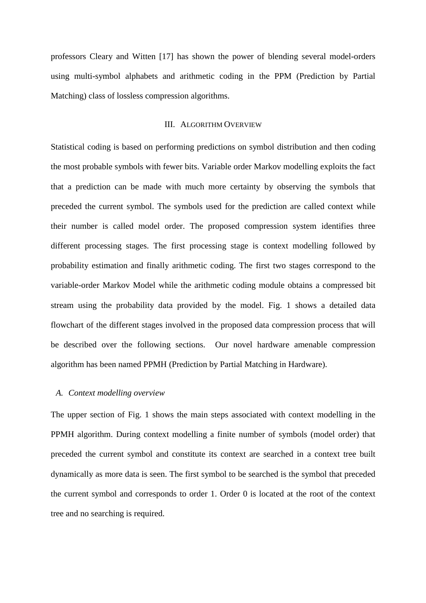professors Cleary and Witten [17] has shown the power of blending several model-orders using multi-symbol alphabets and arithmetic coding in the PPM (Prediction by Partial Matching) class of lossless compression algorithms.

#### III. ALGORITHM OVERVIEW

Statistical coding is based on performing predictions on symbol distribution and then coding the most probable symbols with fewer bits. Variable order Markov modelling exploits the fact that a prediction can be made with much more certainty by observing the symbols that preceded the current symbol. The symbols used for the prediction are called context while their number is called model order. The proposed compression system identifies three different processing stages. The first processing stage is context modelling followed by probability estimation and finally arithmetic coding. The first two stages correspond to the variable-order Markov Model while the arithmetic coding module obtains a compressed bit stream using the probability data provided by the model. Fig. 1 shows a detailed data flowchart of the different stages involved in the proposed data compression process that will be described over the following sections. Our novel hardware amenable compression algorithm has been named PPMH (Prediction by Partial Matching in Hardware).

## *A. Context modelling overview*

The upper section of Fig. 1 shows the main steps associated with context modelling in the PPMH algorithm. During context modelling a finite number of symbols (model order) that preceded the current symbol and constitute its context are searched in a context tree built dynamically as more data is seen. The first symbol to be searched is the symbol that preceded the current symbol and corresponds to order 1. Order 0 is located at the root of the context tree and no searching is required.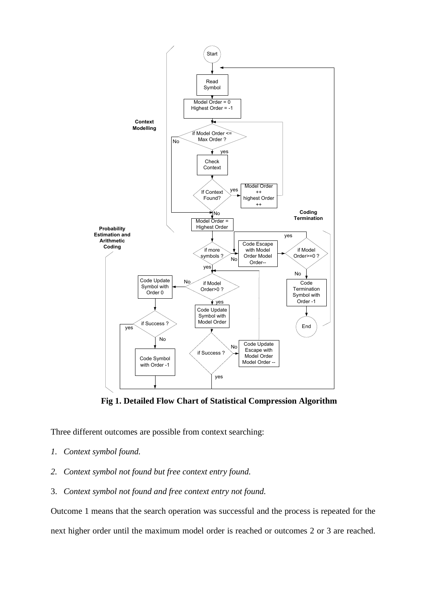

**Fig 1. Detailed Flow Chart of Statistical Compression Algorithm** 

Three different outcomes are possible from context searching:

- *1. Context symbol found.*
- *2. Context symbol not found but free context entry found.*
- 3. *Context symbol not found and free context entry not found.*

Outcome 1 means that the search operation was successful and the process is repeated for the next higher order until the maximum model order is reached or outcomes 2 or 3 are reached.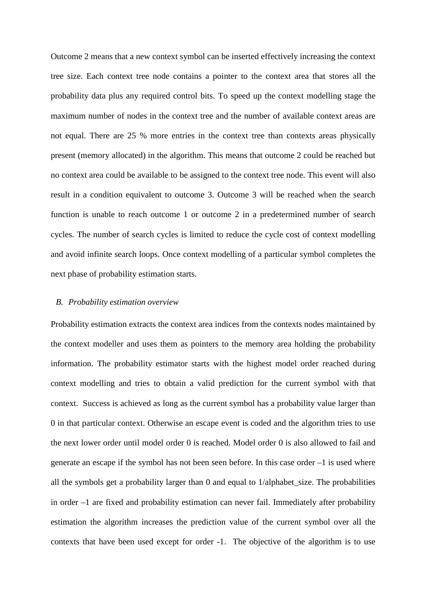Outcome 2 means that a new context symbol can be inserted effectively increasing the context tree size. Each context tree node contains a pointer to the context area that stores all the probability data plus any required control bits. To speed up the context modelling stage the maximum number of nodes in the context tree and the number of available context areas are not equal. There are 25 % more entries in the context tree than contexts areas physically present (memory allocated) in the algorithm. This means that outcome 2 could be reached but no context area could be available to be assigned to the context tree node. This event will also result in a condition equivalent to outcome 3. Outcome 3 will be reached when the search function is unable to reach outcome 1 or outcome 2 in a predetermined number of search cycles. The number of search cycles is limited to reduce the cycle cost of context modelling and avoid infinite search loops. Once context modelling of a particular symbol completes the next phase of probability estimation starts.

## *B. Probability estimation overview*

Probability estimation extracts the context area indices from the contexts nodes maintained by the context modeller and uses them as pointers to the memory area holding the probability information. The probability estimator starts with the highest model order reached during context modelling and tries to obtain a valid prediction for the current symbol with that context. Success is achieved as long as the current symbol has a probability value larger than 0 in that particular context. Otherwise an escape event is coded and the algorithm tries to use the next lower order until model order 0 is reached. Model order 0 is also allowed to fail and generate an escape if the symbol has not been seen before. In this case order –1 is used where all the symbols get a probability larger than 0 and equal to 1/alphabet\_size. The probabilities in order –1 are fixed and probability estimation can never fail. Immediately after probability estimation the algorithm increases the prediction value of the current symbol over all the contexts that have been used except for order -1. The objective of the algorithm is to use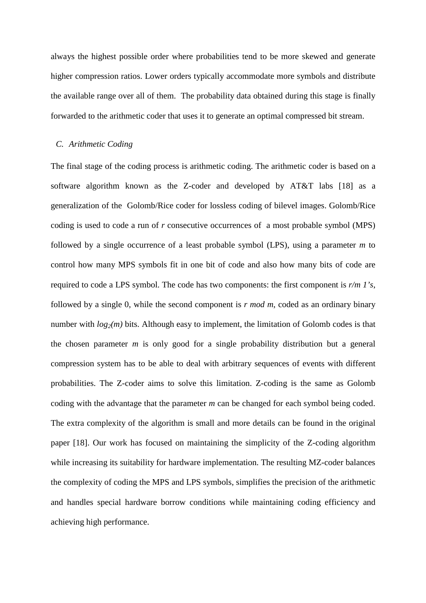always the highest possible order where probabilities tend to be more skewed and generate higher compression ratios. Lower orders typically accommodate more symbols and distribute the available range over all of them. The probability data obtained during this stage is finally forwarded to the arithmetic coder that uses it to generate an optimal compressed bit stream.

### *C. Arithmetic Coding*

The final stage of the coding process is arithmetic coding. The arithmetic coder is based on a software algorithm known as the Z-coder and developed by AT&T labs [18] as a generalization of the Golomb/Rice coder for lossless coding of bilevel images. Golomb/Rice coding is used to code a run of *r* consecutive occurrences of a most probable symbol (MPS) followed by a single occurrence of a least probable symbol (LPS), using a parameter *m* to control how many MPS symbols fit in one bit of code and also how many bits of code are required to code a LPS symbol. The code has two components: the first component is *r/m 1's*, followed by a single 0, while the second component is *r mod m*, coded as an ordinary binary number with  $log_2(m)$  bits. Although easy to implement, the limitation of Golomb codes is that the chosen parameter *m* is only good for a single probability distribution but a general compression system has to be able to deal with arbitrary sequences of events with different probabilities. The Z-coder aims to solve this limitation. Z-coding is the same as Golomb coding with the advantage that the parameter *m* can be changed for each symbol being coded. The extra complexity of the algorithm is small and more details can be found in the original paper [18]. Our work has focused on maintaining the simplicity of the Z-coding algorithm while increasing its suitability for hardware implementation. The resulting MZ-coder balances the complexity of coding the MPS and LPS symbols, simplifies the precision of the arithmetic and handles special hardware borrow conditions while maintaining coding efficiency and achieving high performance.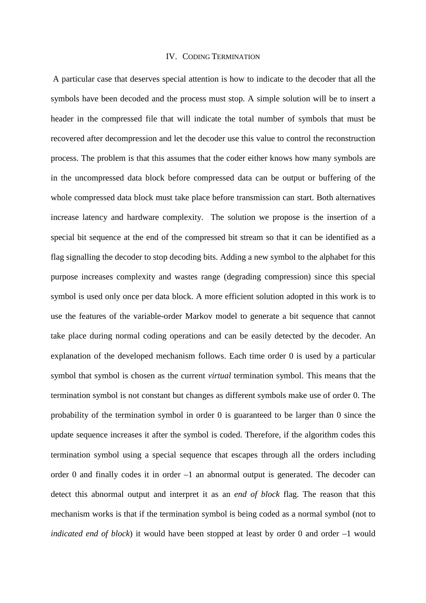#### IV. CODING TERMINATION

 A particular case that deserves special attention is how to indicate to the decoder that all the symbols have been decoded and the process must stop. A simple solution will be to insert a header in the compressed file that will indicate the total number of symbols that must be recovered after decompression and let the decoder use this value to control the reconstruction process. The problem is that this assumes that the coder either knows how many symbols are in the uncompressed data block before compressed data can be output or buffering of the whole compressed data block must take place before transmission can start. Both alternatives increase latency and hardware complexity. The solution we propose is the insertion of a special bit sequence at the end of the compressed bit stream so that it can be identified as a flag signalling the decoder to stop decoding bits. Adding a new symbol to the alphabet for this purpose increases complexity and wastes range (degrading compression) since this special symbol is used only once per data block. A more efficient solution adopted in this work is to use the features of the variable-order Markov model to generate a bit sequence that cannot take place during normal coding operations and can be easily detected by the decoder. An explanation of the developed mechanism follows. Each time order 0 is used by a particular symbol that symbol is chosen as the current *virtual* termination symbol. This means that the termination symbol is not constant but changes as different symbols make use of order 0. The probability of the termination symbol in order 0 is guaranteed to be larger than 0 since the update sequence increases it after the symbol is coded. Therefore, if the algorithm codes this termination symbol using a special sequence that escapes through all the orders including order 0 and finally codes it in order –1 an abnormal output is generated. The decoder can detect this abnormal output and interpret it as an *end of block* flag. The reason that this mechanism works is that if the termination symbol is being coded as a normal symbol (not to *indicated end of block*) it would have been stopped at least by order 0 and order –1 would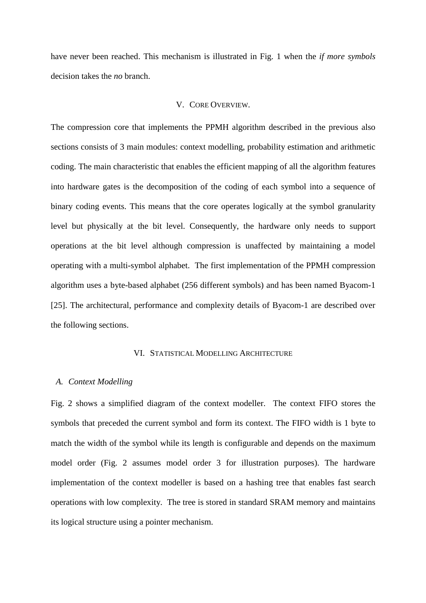have never been reached. This mechanism is illustrated in Fig. 1 when the *if more symbols*  decision takes the *no* branch.

## V. CORE OVERVIEW.

The compression core that implements the PPMH algorithm described in the previous also sections consists of 3 main modules: context modelling, probability estimation and arithmetic coding. The main characteristic that enables the efficient mapping of all the algorithm features into hardware gates is the decomposition of the coding of each symbol into a sequence of binary coding events. This means that the core operates logically at the symbol granularity level but physically at the bit level. Consequently, the hardware only needs to support operations at the bit level although compression is unaffected by maintaining a model operating with a multi-symbol alphabet. The first implementation of the PPMH compression algorithm uses a byte-based alphabet (256 different symbols) and has been named Byacom-1 [25]. The architectural, performance and complexity details of Byacom-1 are described over the following sections.

### VI. STATISTICAL MODELLING ARCHITECTURE

## *A. Context Modelling*

Fig. 2 shows a simplified diagram of the context modeller. The context FIFO stores the symbols that preceded the current symbol and form its context. The FIFO width is 1 byte to match the width of the symbol while its length is configurable and depends on the maximum model order (Fig. 2 assumes model order 3 for illustration purposes). The hardware implementation of the context modeller is based on a hashing tree that enables fast search operations with low complexity. The tree is stored in standard SRAM memory and maintains its logical structure using a pointer mechanism.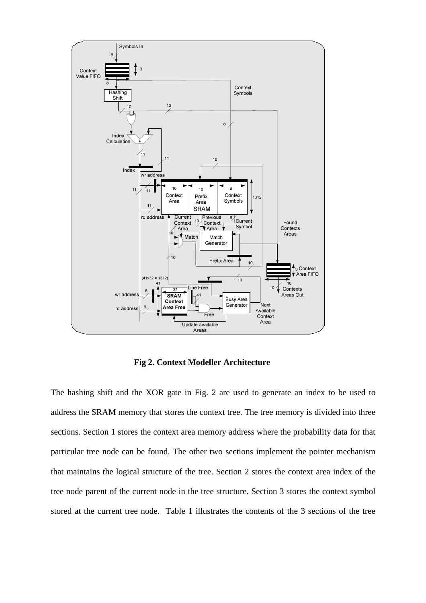

**Fig 2. Context Modeller Architecture** 

The hashing shift and the XOR gate in Fig. 2 are used to generate an index to be used to address the SRAM memory that stores the context tree. The tree memory is divided into three sections. Section 1 stores the context area memory address where the probability data for that particular tree node can be found. The other two sections implement the pointer mechanism that maintains the logical structure of the tree. Section 2 stores the context area index of the tree node parent of the current node in the tree structure. Section 3 stores the context symbol stored at the current tree node. Table 1 illustrates the contents of the 3 sections of the tree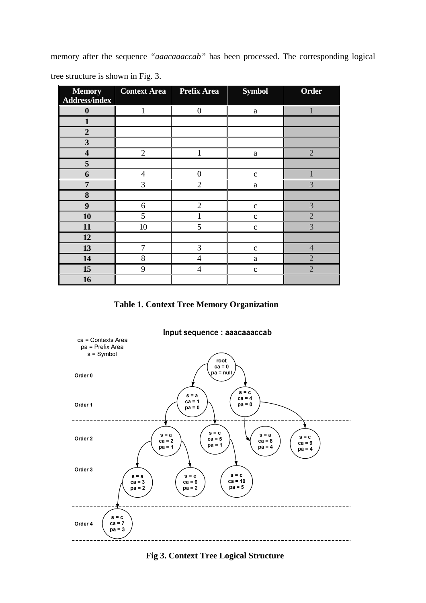memory after the sequence *"aaacaaaccab"* has been processed. The corresponding logical tree structure is shown in Fig. 3.

| <b>Memory</b>           | <b>Context Area</b> Prefix Area |                  | <b>Symbol</b> | <b>Order</b>   |
|-------------------------|---------------------------------|------------------|---------------|----------------|
| <b>Address/index</b>    |                                 |                  |               |                |
| $\boldsymbol{0}$        | $\mathbf{1}$                    | $\boldsymbol{0}$ | $\rm{a}$      |                |
| $\mathbf{1}$            |                                 |                  |               |                |
| $\overline{2}$          |                                 |                  |               |                |
| $\mathbf{3}$            |                                 |                  |               |                |
| $\overline{\mathbf{4}}$ | $\overline{2}$                  | 1                | $\rm{a}$      | $\overline{2}$ |
| 5                       |                                 |                  |               |                |
| 6                       | $\overline{4}$                  | $\overline{0}$   | $\mathbf{C}$  |                |
| $\overline{7}$          | 3                               | $\overline{2}$   | $\rm{a}$      | 3              |
| 8                       |                                 |                  |               |                |
| 9                       | $6\,$                           | $\overline{2}$   | $\mathbf{C}$  | 3              |
| 10                      | 5                               | 1                | $\mathbf{C}$  | $\overline{2}$ |
| 11                      | 10                              | 5                | $\mathbf c$   | $\overline{3}$ |
| 12                      |                                 |                  |               |                |
| 13                      | $\tau$                          | 3                | $\mathbf{C}$  | $\overline{4}$ |
| 14                      | 8                               | $\overline{4}$   | $\rm{a}$      | $\overline{2}$ |
| 15                      | 9                               | $\overline{4}$   | $\mathbf{C}$  | $\overline{2}$ |
| 16                      |                                 |                  |               |                |

**Table 1. Context Tree Memory Organization** 



**Fig 3. Context Tree Logical Structure**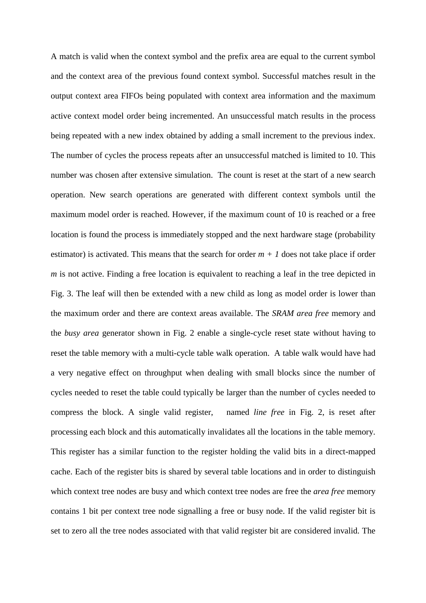A match is valid when the context symbol and the prefix area are equal to the current symbol and the context area of the previous found context symbol. Successful matches result in the output context area FIFOs being populated with context area information and the maximum active context model order being incremented. An unsuccessful match results in the process being repeated with a new index obtained by adding a small increment to the previous index. The number of cycles the process repeats after an unsuccessful matched is limited to 10. This number was chosen after extensive simulation. The count is reset at the start of a new search operation. New search operations are generated with different context symbols until the maximum model order is reached. However, if the maximum count of 10 is reached or a free location is found the process is immediately stopped and the next hardware stage (probability estimator) is activated. This means that the search for order  $m + 1$  does not take place if order *m* is not active. Finding a free location is equivalent to reaching a leaf in the tree depicted in Fig. 3. The leaf will then be extended with a new child as long as model order is lower than the maximum order and there are context areas available. The *SRAM area free* memory and the *busy area* generator shown in Fig. 2 enable a single-cycle reset state without having to reset the table memory with a multi-cycle table walk operation. A table walk would have had a very negative effect on throughput when dealing with small blocks since the number of cycles needed to reset the table could typically be larger than the number of cycles needed to compress the block. A single valid register, named *line free* in Fig. 2, is reset after processing each block and this automatically invalidates all the locations in the table memory. This register has a similar function to the register holding the valid bits in a direct-mapped cache. Each of the register bits is shared by several table locations and in order to distinguish which context tree nodes are busy and which context tree nodes are free the *area free* memory contains 1 bit per context tree node signalling a free or busy node. If the valid register bit is set to zero all the tree nodes associated with that valid register bit are considered invalid. The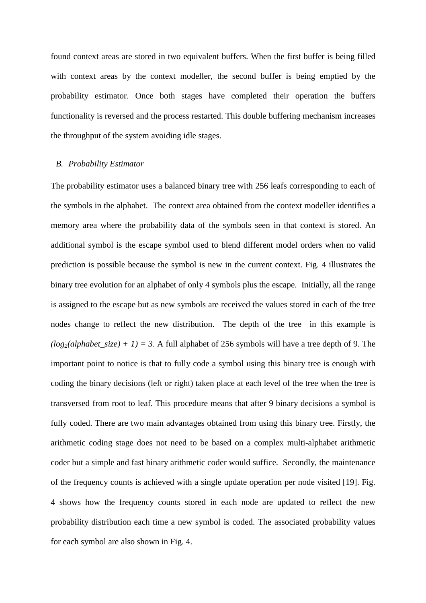found context areas are stored in two equivalent buffers. When the first buffer is being filled with context areas by the context modeller, the second buffer is being emptied by the probability estimator. Once both stages have completed their operation the buffers functionality is reversed and the process restarted. This double buffering mechanism increases the throughput of the system avoiding idle stages.

#### *B. Probability Estimator*

The probability estimator uses a balanced binary tree with 256 leafs corresponding to each of the symbols in the alphabet. The context area obtained from the context modeller identifies a memory area where the probability data of the symbols seen in that context is stored. An additional symbol is the escape symbol used to blend different model orders when no valid prediction is possible because the symbol is new in the current context. Fig. 4 illustrates the binary tree evolution for an alphabet of only 4 symbols plus the escape. Initially, all the range is assigned to the escape but as new symbols are received the values stored in each of the tree nodes change to reflect the new distribution. The depth of the tree in this example is  $(log_2(alphabet\_size) + 1$  = 3. A full alphabet of 256 symbols will have a tree depth of 9. The important point to notice is that to fully code a symbol using this binary tree is enough with coding the binary decisions (left or right) taken place at each level of the tree when the tree is transversed from root to leaf. This procedure means that after 9 binary decisions a symbol is fully coded. There are two main advantages obtained from using this binary tree. Firstly, the arithmetic coding stage does not need to be based on a complex multi-alphabet arithmetic coder but a simple and fast binary arithmetic coder would suffice. Secondly, the maintenance of the frequency counts is achieved with a single update operation per node visited [19]. Fig. 4 shows how the frequency counts stored in each node are updated to reflect the new probability distribution each time a new symbol is coded. The associated probability values for each symbol are also shown in Fig. 4.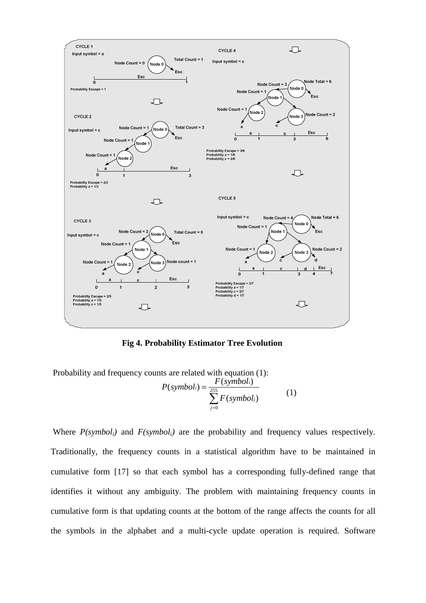

**Fig 4. Probability Estimator Tree Evolution** 

Probability and frequency counts are related with equation (1):

$$
P(symboli) = \frac{F(symboli)}{\sum_{j=0}^{255} F(symboli)}
$$
 (1)

 Where *P(symboli)* and *F(symboli)* are the probability and frequency values respectively. Traditionally, the frequency counts in a statistical algorithm have to be maintained in cumulative form [17] so that each symbol has a corresponding fully-defined range that identifies it without any ambiguity. The problem with maintaining frequency counts in cumulative form is that updating counts at the bottom of the range affects the counts for all the symbols in the alphabet and a multi-cycle update operation is required. Software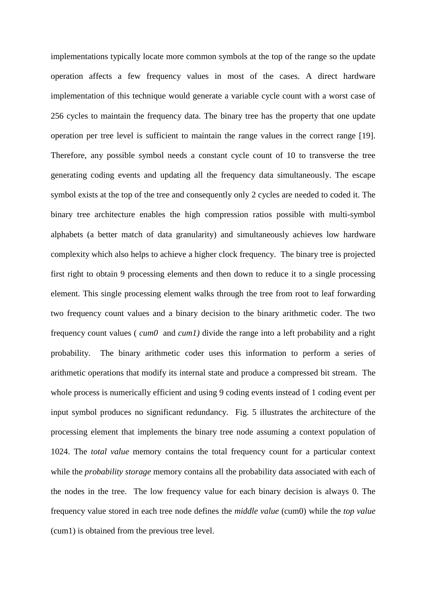implementations typically locate more common symbols at the top of the range so the update operation affects a few frequency values in most of the cases. A direct hardware implementation of this technique would generate a variable cycle count with a worst case of 256 cycles to maintain the frequency data. The binary tree has the property that one update operation per tree level is sufficient to maintain the range values in the correct range [19]. Therefore, any possible symbol needs a constant cycle count of 10 to transverse the tree generating coding events and updating all the frequency data simultaneously. The escape symbol exists at the top of the tree and consequently only 2 cycles are needed to coded it. The binary tree architecture enables the high compression ratios possible with multi-symbol alphabets (a better match of data granularity) and simultaneously achieves low hardware complexity which also helps to achieve a higher clock frequency. The binary tree is projected first right to obtain 9 processing elements and then down to reduce it to a single processing element. This single processing element walks through the tree from root to leaf forwarding two frequency count values and a binary decision to the binary arithmetic coder. The two frequency count values ( *cum0* and *cum1)* divide the range into a left probability and a right probability. The binary arithmetic coder uses this information to perform a series of arithmetic operations that modify its internal state and produce a compressed bit stream. The whole process is numerically efficient and using 9 coding events instead of 1 coding event per input symbol produces no significant redundancy. Fig. 5 illustrates the architecture of the processing element that implements the binary tree node assuming a context population of 1024. The *total value* memory contains the total frequency count for a particular context while the *probability storage* memory contains all the probability data associated with each of the nodes in the tree. The low frequency value for each binary decision is always 0. The frequency value stored in each tree node defines the *middle value* (cum0) while the *top value* (cum1) is obtained from the previous tree level.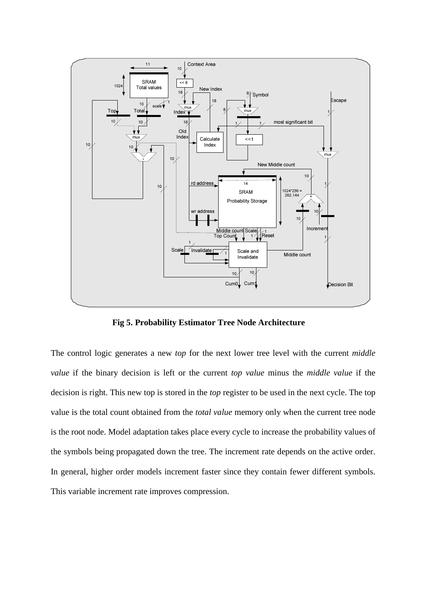

**Fig 5. Probability Estimator Tree Node Architecture** 

The control logic generates a new *top* for the next lower tree level with the current *middle value* if the binary decision is left or the current *top value* minus the *middle value* if the decision is right. This new top is stored in the *top* register to be used in the next cycle. The top value is the total count obtained from the *total value* memory only when the current tree node is the root node. Model adaptation takes place every cycle to increase the probability values of the symbols being propagated down the tree. The increment rate depends on the active order. In general, higher order models increment faster since they contain fewer different symbols. This variable increment rate improves compression.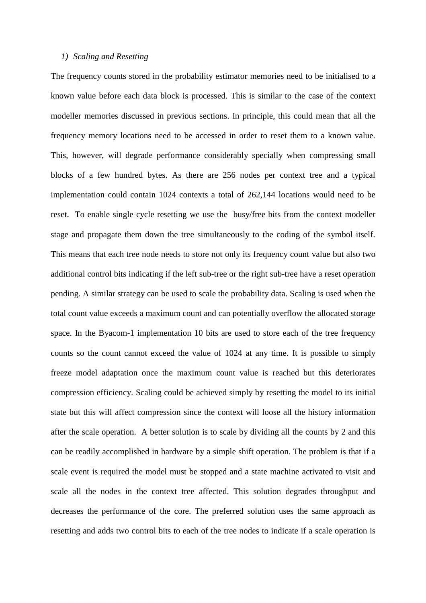#### *1) Scaling and Resetting*

The frequency counts stored in the probability estimator memories need to be initialised to a known value before each data block is processed. This is similar to the case of the context modeller memories discussed in previous sections. In principle, this could mean that all the frequency memory locations need to be accessed in order to reset them to a known value. This, however, will degrade performance considerably specially when compressing small blocks of a few hundred bytes. As there are 256 nodes per context tree and a typical implementation could contain 1024 contexts a total of 262,144 locations would need to be reset. To enable single cycle resetting we use the busy/free bits from the context modeller stage and propagate them down the tree simultaneously to the coding of the symbol itself. This means that each tree node needs to store not only its frequency count value but also two additional control bits indicating if the left sub-tree or the right sub-tree have a reset operation pending. A similar strategy can be used to scale the probability data. Scaling is used when the total count value exceeds a maximum count and can potentially overflow the allocated storage space. In the Byacom-1 implementation 10 bits are used to store each of the tree frequency counts so the count cannot exceed the value of 1024 at any time. It is possible to simply freeze model adaptation once the maximum count value is reached but this deteriorates compression efficiency. Scaling could be achieved simply by resetting the model to its initial state but this will affect compression since the context will loose all the history information after the scale operation. A better solution is to scale by dividing all the counts by 2 and this can be readily accomplished in hardware by a simple shift operation. The problem is that if a scale event is required the model must be stopped and a state machine activated to visit and scale all the nodes in the context tree affected. This solution degrades throughput and decreases the performance of the core. The preferred solution uses the same approach as resetting and adds two control bits to each of the tree nodes to indicate if a scale operation is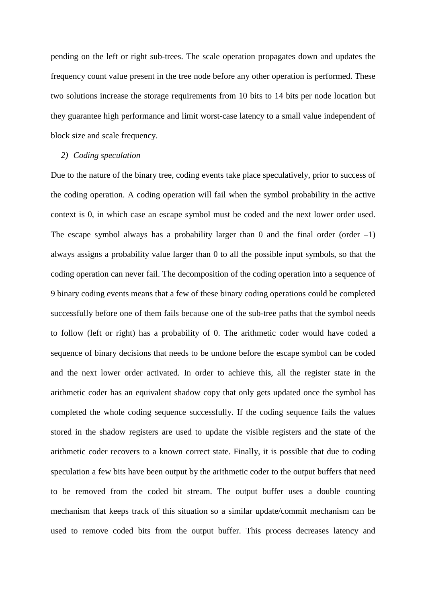pending on the left or right sub-trees. The scale operation propagates down and updates the frequency count value present in the tree node before any other operation is performed. These two solutions increase the storage requirements from 10 bits to 14 bits per node location but they guarantee high performance and limit worst-case latency to a small value independent of block size and scale frequency.

## *2) Coding speculation*

Due to the nature of the binary tree, coding events take place speculatively, prior to success of the coding operation. A coding operation will fail when the symbol probability in the active context is 0, in which case an escape symbol must be coded and the next lower order used. The escape symbol always has a probability larger than 0 and the final order (order  $-1$ ) always assigns a probability value larger than 0 to all the possible input symbols, so that the coding operation can never fail. The decomposition of the coding operation into a sequence of 9 binary coding events means that a few of these binary coding operations could be completed successfully before one of them fails because one of the sub-tree paths that the symbol needs to follow (left or right) has a probability of 0. The arithmetic coder would have coded a sequence of binary decisions that needs to be undone before the escape symbol can be coded and the next lower order activated. In order to achieve this, all the register state in the arithmetic coder has an equivalent shadow copy that only gets updated once the symbol has completed the whole coding sequence successfully. If the coding sequence fails the values stored in the shadow registers are used to update the visible registers and the state of the arithmetic coder recovers to a known correct state. Finally, it is possible that due to coding speculation a few bits have been output by the arithmetic coder to the output buffers that need to be removed from the coded bit stream. The output buffer uses a double counting mechanism that keeps track of this situation so a similar update/commit mechanism can be used to remove coded bits from the output buffer. This process decreases latency and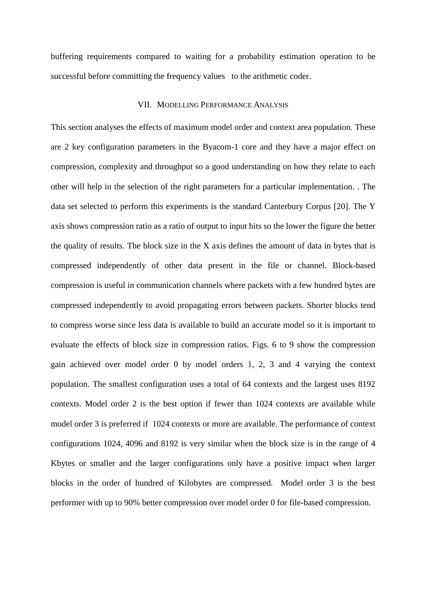buffering requirements compared to waiting for a probability estimation operation to be successful before committing the frequency values to the arithmetic coder.

#### VII. MODELLING PERFORMANCE ANALYSIS

This section analyses the effects of maximum model order and context area population. These are 2 key configuration parameters in the Byacom-1 core and they have a major effect on compression, complexity and throughput so a good understanding on how they relate to each other will help in the selection of the right parameters for a particular implementation. . The data set selected to perform this experiments is the standard Canterbury Corpus [20]. The Y axis shows compression ratio as a ratio of output to input bits so the lower the figure the better the quality of results. The block size in the X axis defines the amount of data in bytes that is compressed independently of other data present in the file or channel. Block-based compression is useful in communication channels where packets with a few hundred bytes are compressed independently to avoid propagating errors between packets. Shorter blocks tend to compress worse since less data is available to build an accurate model so it is important to evaluate the effects of block size in compression ratios. Figs. 6 to 9 show the compression gain achieved over model order 0 by model orders 1, 2, 3 and 4 varying the context population. The smallest configuration uses a total of 64 contexts and the largest uses 8192 contexts. Model order 2 is the best option if fewer than 1024 contexts are available while model order 3 is preferred if 1024 contexts or more are available. The performance of context configurations 1024, 4096 and 8192 is very similar when the block size is in the range of 4 Kbytes or smaller and the larger configurations only have a positive impact when larger blocks in the order of hundred of Kilobytes are compressed. Model order 3 is the best performer with up to 90% better compression over model order 0 for file-based compression.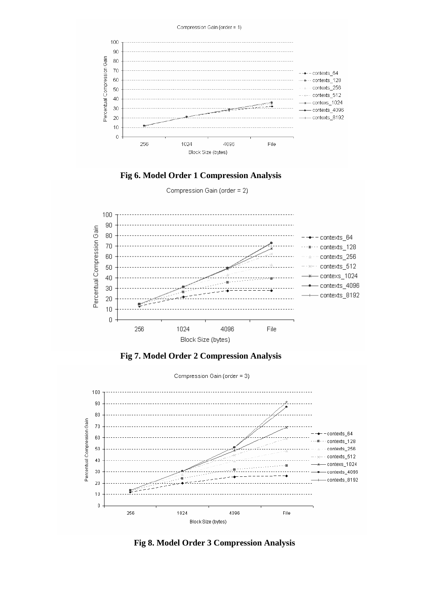

#### **Fig 6. Model Order 1 Compression Analysis**

Compression Gain (order = 2)







**Fig 8. Model Order 3 Compression Analysis**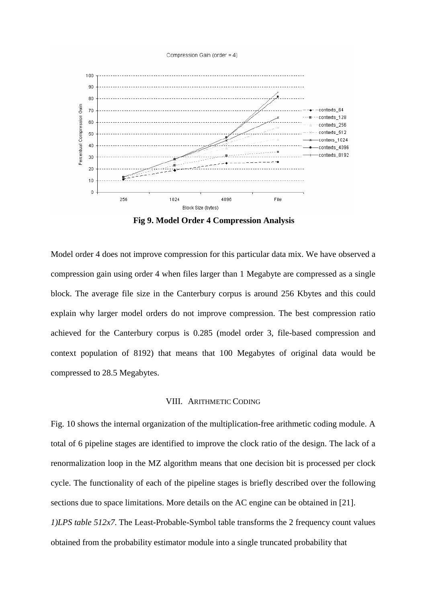

**Fig 9. Model Order 4 Compression Analysis** 

Model order 4 does not improve compression for this particular data mix. We have observed a compression gain using order 4 when files larger than 1 Megabyte are compressed as a single block. The average file size in the Canterbury corpus is around 256 Kbytes and this could explain why larger model orders do not improve compression. The best compression ratio achieved for the Canterbury corpus is 0.285 (model order 3, file-based compression and context population of 8192) that means that 100 Megabytes of original data would be compressed to 28.5 Megabytes.

#### VIII. ARITHMETIC CODING

Fig. 10 shows the internal organization of the multiplication-free arithmetic coding module. A total of 6 pipeline stages are identified to improve the clock ratio of the design. The lack of a renormalization loop in the MZ algorithm means that one decision bit is processed per clock cycle. The functionality of each of the pipeline stages is briefly described over the following sections due to space limitations. More details on the AC engine can be obtained in [21]. *1)LPS table 512x7.* The Least-Probable-Symbol table transforms the 2 frequency count values obtained from the probability estimator module into a single truncated probability that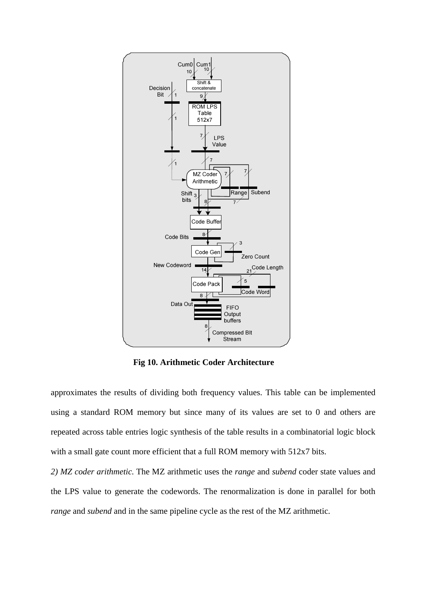

**Fig 10. Arithmetic Coder Architecture** 

approximates the results of dividing both frequency values. This table can be implemented using a standard ROM memory but since many of its values are set to 0 and others are repeated across table entries logic synthesis of the table results in a combinatorial logic block with a small gate count more efficient that a full ROM memory with 512x7 bits.

*2) MZ coder arithmetic.* The MZ arithmetic uses the *range* and *subend* coder state values and the LPS value to generate the codewords. The renormalization is done in parallel for both *range* and *subend* and in the same pipeline cycle as the rest of the MZ arithmetic.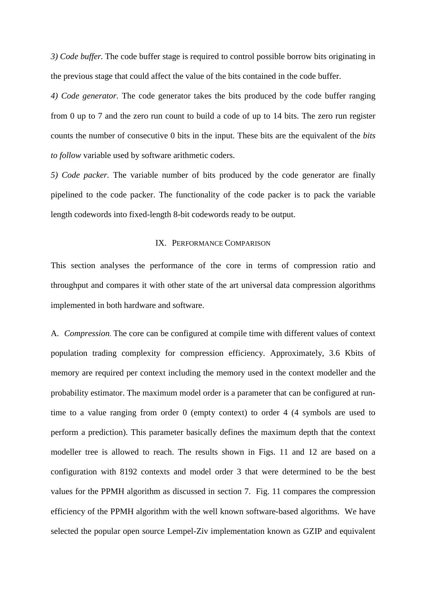*3) Code buffer.* The code buffer stage is required to control possible borrow bits originating in the previous stage that could affect the value of the bits contained in the code buffer.

*4) Code generator.* The code generator takes the bits produced by the code buffer ranging from 0 up to 7 and the zero run count to build a code of up to 14 bits. The zero run register counts the number of consecutive 0 bits in the input. These bits are the equivalent of the *bits to follow* variable used by software arithmetic coders.

*5) Code packer.* The variable number of bits produced by the code generator are finally pipelined to the code packer. The functionality of the code packer is to pack the variable length codewords into fixed-length 8-bit codewords ready to be output.

#### IX. PERFORMANCE COMPARISON

This section analyses the performance of the core in terms of compression ratio and throughput and compares it with other state of the art universal data compression algorithms implemented in both hardware and software.

A. *Compression.* The core can be configured at compile time with different values of context population trading complexity for compression efficiency. Approximately, 3.6 Kbits of memory are required per context including the memory used in the context modeller and the probability estimator. The maximum model order is a parameter that can be configured at runtime to a value ranging from order 0 (empty context) to order 4 (4 symbols are used to perform a prediction). This parameter basically defines the maximum depth that the context modeller tree is allowed to reach. The results shown in Figs. 11 and 12 are based on a configuration with 8192 contexts and model order 3 that were determined to be the best values for the PPMH algorithm as discussed in section 7. Fig. 11 compares the compression efficiency of the PPMH algorithm with the well known software-based algorithms. We have selected the popular open source Lempel-Ziv implementation known as GZIP and equivalent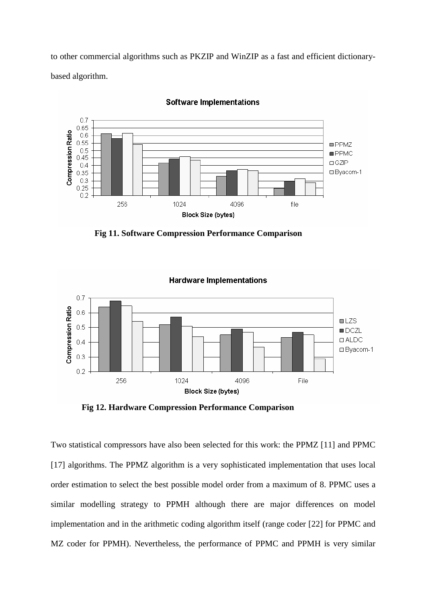to other commercial algorithms such as PKZIP and WinZIP as a fast and efficient dictionarybased algorithm.



**Software Implementations** 

**Fig 11. Software Compression Performance Comparison** 



**Fig 12. Hardware Compression Performance Comparison** 

Two statistical compressors have also been selected for this work: the PPMZ [11] and PPMC [17] algorithms. The PPMZ algorithm is a very sophisticated implementation that uses local order estimation to select the best possible model order from a maximum of 8. PPMC uses a similar modelling strategy to PPMH although there are major differences on model implementation and in the arithmetic coding algorithm itself (range coder [22] for PPMC and MZ coder for PPMH). Nevertheless, the performance of PPMC and PPMH is very similar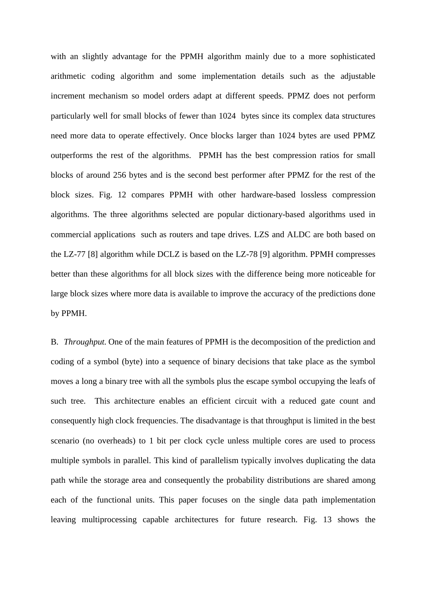with an slightly advantage for the PPMH algorithm mainly due to a more sophisticated arithmetic coding algorithm and some implementation details such as the adjustable increment mechanism so model orders adapt at different speeds. PPMZ does not perform particularly well for small blocks of fewer than 1024 bytes since its complex data structures need more data to operate effectively. Once blocks larger than 1024 bytes are used PPMZ outperforms the rest of the algorithms. PPMH has the best compression ratios for small blocks of around 256 bytes and is the second best performer after PPMZ for the rest of the block sizes. Fig. 12 compares PPMH with other hardware-based lossless compression algorithms. The three algorithms selected are popular dictionary-based algorithms used in commercial applications such as routers and tape drives. LZS and ALDC are both based on the LZ-77 [8] algorithm while DCLZ is based on the LZ-78 [9] algorithm. PPMH compresses better than these algorithms for all block sizes with the difference being more noticeable for large block sizes where more data is available to improve the accuracy of the predictions done by PPMH.

B. *Throughput.* One of the main features of PPMH is the decomposition of the prediction and coding of a symbol (byte) into a sequence of binary decisions that take place as the symbol moves a long a binary tree with all the symbols plus the escape symbol occupying the leafs of such tree. This architecture enables an efficient circuit with a reduced gate count and consequently high clock frequencies. The disadvantage is that throughput is limited in the best scenario (no overheads) to 1 bit per clock cycle unless multiple cores are used to process multiple symbols in parallel. This kind of parallelism typically involves duplicating the data path while the storage area and consequently the probability distributions are shared among each of the functional units. This paper focuses on the single data path implementation leaving multiprocessing capable architectures for future research. Fig. 13 shows the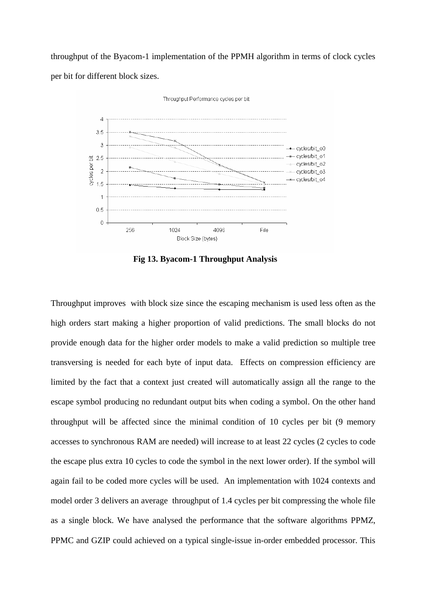throughput of the Byacom-1 implementation of the PPMH algorithm in terms of clock cycles per bit for different block sizes.



**Fig 13. Byacom-1 Throughput Analysis** 

Throughput improves with block size since the escaping mechanism is used less often as the high orders start making a higher proportion of valid predictions. The small blocks do not provide enough data for the higher order models to make a valid prediction so multiple tree transversing is needed for each byte of input data. Effects on compression efficiency are limited by the fact that a context just created will automatically assign all the range to the escape symbol producing no redundant output bits when coding a symbol. On the other hand throughput will be affected since the minimal condition of 10 cycles per bit (9 memory accesses to synchronous RAM are needed) will increase to at least 22 cycles (2 cycles to code the escape plus extra 10 cycles to code the symbol in the next lower order). If the symbol will again fail to be coded more cycles will be used. An implementation with 1024 contexts and model order 3 delivers an average throughput of 1.4 cycles per bit compressing the whole file as a single block. We have analysed the performance that the software algorithms PPMZ, PPMC and GZIP could achieved on a typical single-issue in-order embedded processor. This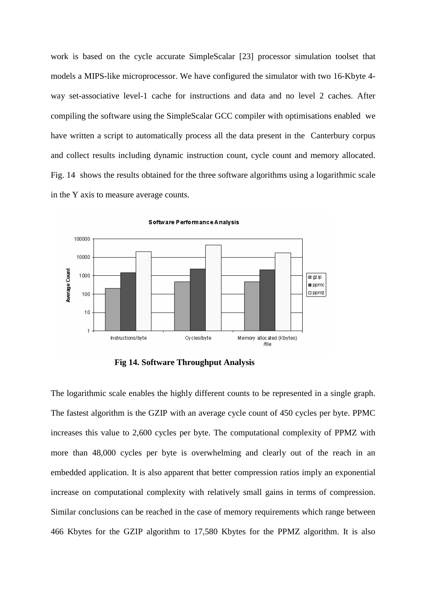work is based on the cycle accurate SimpleScalar [23] processor simulation toolset that models a MIPS-like microprocessor. We have configured the simulator with two 16-Kbyte 4 way set-associative level-1 cache for instructions and data and no level 2 caches. After compiling the software using the SimpleScalar GCC compiler with optimisations enabled we have written a script to automatically process all the data present in the Canterbury corpus and collect results including dynamic instruction count, cycle count and memory allocated. Fig. 14 shows the results obtained for the three software algorithms using a logarithmic scale in the Y axis to measure average counts.



**Fig 14. Software Throughput Analysis** 

The logarithmic scale enables the highly different counts to be represented in a single graph. The fastest algorithm is the GZIP with an average cycle count of 450 cycles per byte. PPMC increases this value to 2,600 cycles per byte. The computational complexity of PPMZ with more than 48,000 cycles per byte is overwhelming and clearly out of the reach in an embedded application. It is also apparent that better compression ratios imply an exponential increase on computational complexity with relatively small gains in terms of compression. Similar conclusions can be reached in the case of memory requirements which range between 466 Kbytes for the GZIP algorithm to 17,580 Kbytes for the PPMZ algorithm. It is also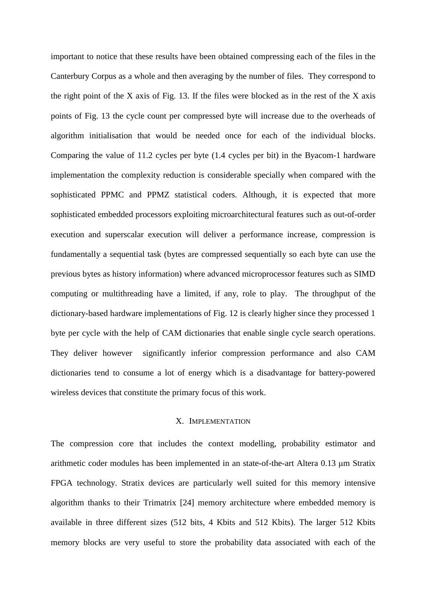important to notice that these results have been obtained compressing each of the files in the Canterbury Corpus as a whole and then averaging by the number of files. They correspond to the right point of the X axis of Fig. 13. If the files were blocked as in the rest of the X axis points of Fig. 13 the cycle count per compressed byte will increase due to the overheads of algorithm initialisation that would be needed once for each of the individual blocks. Comparing the value of 11.2 cycles per byte (1.4 cycles per bit) in the Byacom-1 hardware implementation the complexity reduction is considerable specially when compared with the sophisticated PPMC and PPMZ statistical coders. Although, it is expected that more sophisticated embedded processors exploiting microarchitectural features such as out-of-order execution and superscalar execution will deliver a performance increase, compression is fundamentally a sequential task (bytes are compressed sequentially so each byte can use the previous bytes as history information) where advanced microprocessor features such as SIMD computing or multithreading have a limited, if any, role to play. The throughput of the dictionary-based hardware implementations of Fig. 12 is clearly higher since they processed 1 byte per cycle with the help of CAM dictionaries that enable single cycle search operations. They deliver however significantly inferior compression performance and also CAM dictionaries tend to consume a lot of energy which is a disadvantage for battery-powered wireless devices that constitute the primary focus of this work.

## X. IMPLEMENTATION

The compression core that includes the context modelling, probability estimator and arithmetic coder modules has been implemented in an state-of-the-art Altera 0.13 µm Stratix FPGA technology. Stratix devices are particularly well suited for this memory intensive algorithm thanks to their Trimatrix [24] memory architecture where embedded memory is available in three different sizes (512 bits, 4 Kbits and 512 Kbits). The larger 512 Kbits memory blocks are very useful to store the probability data associated with each of the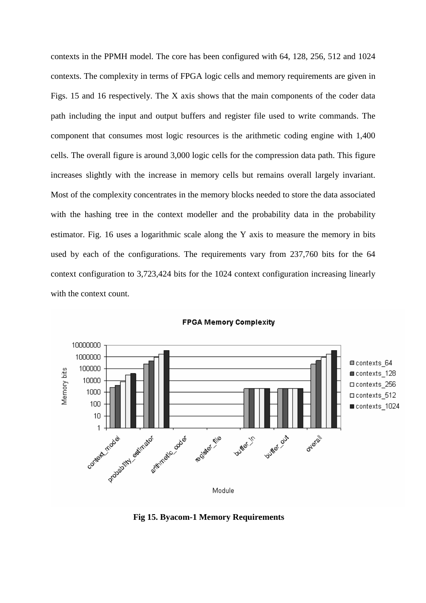contexts in the PPMH model. The core has been configured with 64, 128, 256, 512 and 1024 contexts. The complexity in terms of FPGA logic cells and memory requirements are given in Figs. 15 and 16 respectively. The X axis shows that the main components of the coder data path including the input and output buffers and register file used to write commands. The component that consumes most logic resources is the arithmetic coding engine with 1,400 cells. The overall figure is around 3,000 logic cells for the compression data path. This figure increases slightly with the increase in memory cells but remains overall largely invariant. Most of the complexity concentrates in the memory blocks needed to store the data associated with the hashing tree in the context modeller and the probability data in the probability estimator. Fig. 16 uses a logarithmic scale along the Y axis to measure the memory in bits used by each of the configurations. The requirements vary from 237,760 bits for the 64 context configuration to 3,723,424 bits for the 1024 context configuration increasing linearly with the context count.



**Fig 15. Byacom-1 Memory Requirements**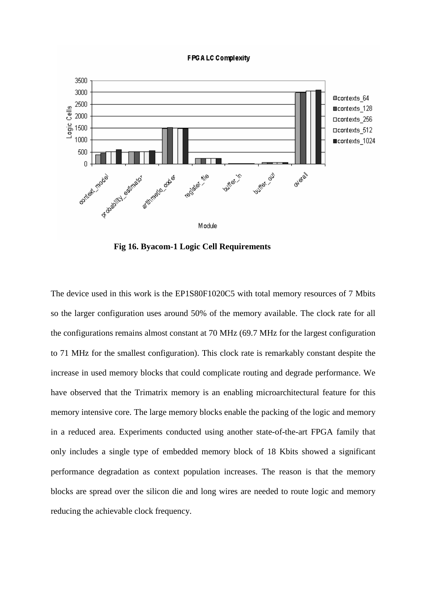#### **FPG ALC Complexity**



**Fig 16. Byacom-1 Logic Cell Requirements** 

The device used in this work is the EP1S80F1020C5 with total memory resources of 7 Mbits so the larger configuration uses around 50% of the memory available. The clock rate for all the configurations remains almost constant at 70 MHz (69.7 MHz for the largest configuration to 71 MHz for the smallest configuration). This clock rate is remarkably constant despite the increase in used memory blocks that could complicate routing and degrade performance. We have observed that the Trimatrix memory is an enabling microarchitectural feature for this memory intensive core. The large memory blocks enable the packing of the logic and memory in a reduced area. Experiments conducted using another state-of-the-art FPGA family that only includes a single type of embedded memory block of 18 Kbits showed a significant performance degradation as context population increases. The reason is that the memory blocks are spread over the silicon die and long wires are needed to route logic and memory reducing the achievable clock frequency.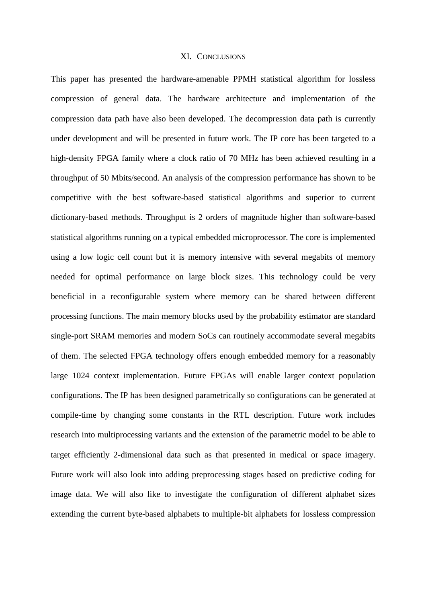## XI. CONCLUSIONS

This paper has presented the hardware-amenable PPMH statistical algorithm for lossless compression of general data. The hardware architecture and implementation of the compression data path have also been developed. The decompression data path is currently under development and will be presented in future work. The IP core has been targeted to a high-density FPGA family where a clock ratio of 70 MHz has been achieved resulting in a throughput of 50 Mbits/second. An analysis of the compression performance has shown to be competitive with the best software-based statistical algorithms and superior to current dictionary-based methods. Throughput is 2 orders of magnitude higher than software-based statistical algorithms running on a typical embedded microprocessor. The core is implemented using a low logic cell count but it is memory intensive with several megabits of memory needed for optimal performance on large block sizes. This technology could be very beneficial in a reconfigurable system where memory can be shared between different processing functions. The main memory blocks used by the probability estimator are standard single-port SRAM memories and modern SoCs can routinely accommodate several megabits of them. The selected FPGA technology offers enough embedded memory for a reasonably large 1024 context implementation. Future FPGAs will enable larger context population configurations. The IP has been designed parametrically so configurations can be generated at compile-time by changing some constants in the RTL description. Future work includes research into multiprocessing variants and the extension of the parametric model to be able to target efficiently 2-dimensional data such as that presented in medical or space imagery. Future work will also look into adding preprocessing stages based on predictive coding for image data. We will also like to investigate the configuration of different alphabet sizes extending the current byte-based alphabets to multiple-bit alphabets for lossless compression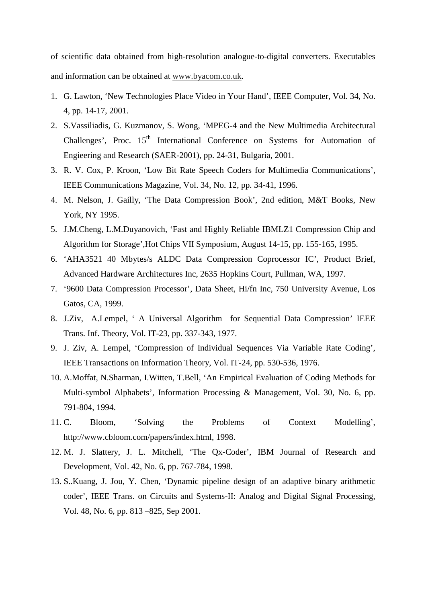of scientific data obtained from high-resolution analogue-to-digital converters. Executables and information can be obtained at www.byacom.co.uk.

- 1. G. Lawton, 'New Technologies Place Video in Your Hand', IEEE Computer, Vol. 34, No. 4, pp. 14-17, 2001.
- 2. S.Vassiliadis, G. Kuzmanov, S. Wong, 'MPEG-4 and the New Multimedia Architectural Challenges', Proc.  $15<sup>th</sup>$  International Conference on Systems for Automation of Engieering and Research (SAER-2001), pp. 24-31, Bulgaria, 2001.
- 3. R. V. Cox, P. Kroon, 'Low Bit Rate Speech Coders for Multimedia Communications', IEEE Communications Magazine, Vol. 34, No. 12, pp. 34-41, 1996.
- 4. M. Nelson, J. Gailly, 'The Data Compression Book', 2nd edition, M&T Books, New York, NY 1995.
- 5. J.M.Cheng, L.M.Duyanovich, 'Fast and Highly Reliable IBMLZ1 Compression Chip and Algorithm for Storage',Hot Chips VII Symposium, August 14-15, pp. 155-165, 1995.
- 6. 'AHA3521 40 Mbytes/s ALDC Data Compression Coprocessor IC', Product Brief, Advanced Hardware Architectures Inc, 2635 Hopkins Court, Pullman, WA, 1997.
- 7. '9600 Data Compression Processor', Data Sheet, Hi/fn Inc, 750 University Avenue, Los Gatos, CA, 1999.
- 8. J.Ziv, A.Lempel, ' A Universal Algorithm for Sequential Data Compression' IEEE Trans. Inf. Theory, Vol. IT-23, pp. 337-343, 1977.
- 9. J. Ziv, A. Lempel, 'Compression of Individual Sequences Via Variable Rate Coding', IEEE Transactions on Information Theory, Vol. IT-24, pp. 530-536, 1976.
- 10. A.Moffat, N.Sharman, I.Witten, T.Bell, 'An Empirical Evaluation of Coding Methods for Multi-symbol Alphabets', Information Processing & Management, Vol. 30, No. 6, pp. 791-804, 1994.
- 11. C. Bloom, 'Solving the Problems of Context Modelling', http://www.cbloom.com/papers/index.html, 1998.
- 12. M. J. Slattery, J. L. Mitchell, 'The Qx-Coder', IBM Journal of Research and Development, Vol. 42, No. 6, pp. 767-784, 1998.
- 13. S..Kuang, J. Jou, Y. Chen, 'Dynamic pipeline design of an adaptive binary arithmetic coder', IEEE Trans. on Circuits and Systems-II: Analog and Digital Signal Processing, Vol. 48, No. 6, pp. 813 –825, Sep 2001.